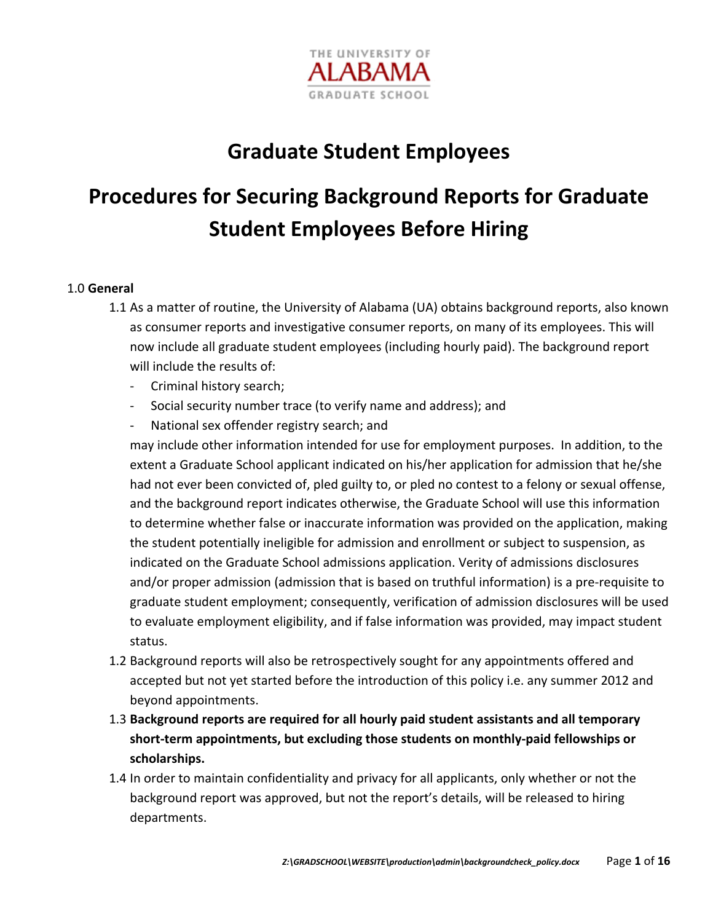

## **Graduate Student Employees**

# **Procedures for Securing Background Reports for Graduate Student Employees Before Hiring**

### 1.0 **General**

- 1.1 As a matter of routine, the University of Alabama (UA) obtains background reports, also known as consumer reports and investigative consumer reports, on many of its employees. This will now include all graduate student employees (including hourly paid). The background report will include the results of:
	- ‐ Criminal history search;
	- Social security number trace (to verify name and address); and
	- ‐ National sex offender registry search; and

may include other information intended for use for employment purposes. In addition, to the extent a Graduate School applicant indicated on his/her application for admission that he/she had not ever been convicted of, pled guilty to, or pled no contest to a felony or sexual offense, and the background report indicates otherwise, the Graduate School will use this information to determine whether false or inaccurate information was provided on the application, making the student potentially ineligible for admission and enrollment or subject to suspension, as indicated on the Graduate School admissions application. Verity of admissions disclosures and/or proper admission (admission that is based on truthful information) is a pre‐requisite to graduate student employment; consequently, verification of admission disclosures will be used to evaluate employment eligibility, and if false information was provided, may impact student status.

- 1.2 Background reports will also be retrospectively sought for any appointments offered and accepted but not yet started before the introduction of this policy i.e. any summer 2012 and beyond appointments.
- 1.3 **Background reports are required for all hourly paid student assistants and all temporary short‐term appointments, but excluding those students on monthly‐paid fellowships or scholarships.**
- 1.4 In order to maintain confidentiality and privacy for all applicants, only whether or not the background report was approved, but not the report's details, will be released to hiring departments.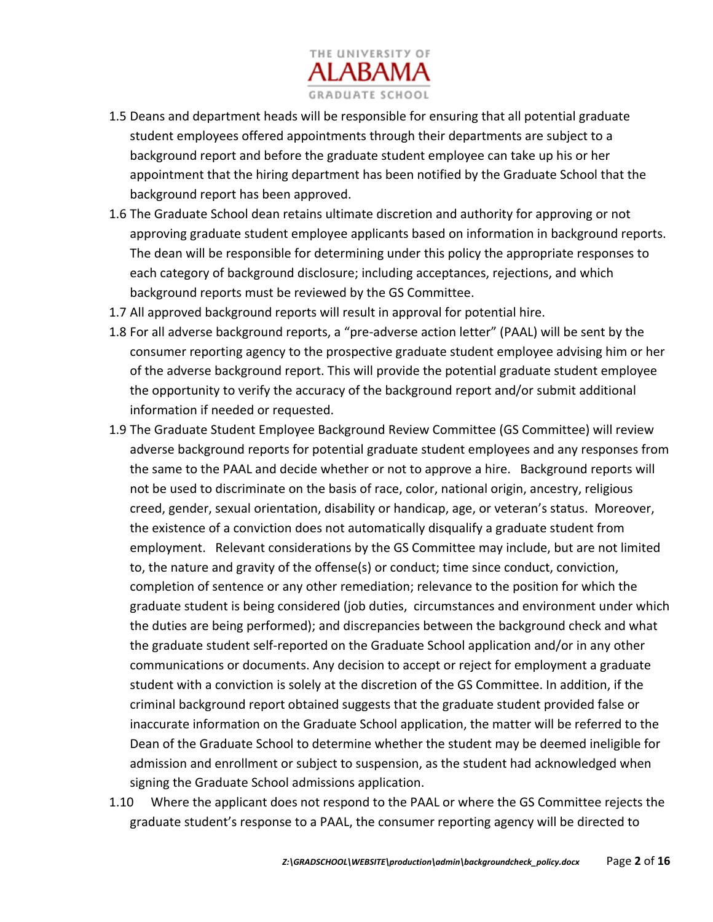

- 1.5 Deans and department heads will be responsible for ensuring that all potential graduate student employees offered appointments through their departments are subject to a background report and before the graduate student employee can take up his or her appointment that the hiring department has been notified by the Graduate School that the background report has been approved.
- 1.6 The Graduate School dean retains ultimate discretion and authority for approving or not approving graduate student employee applicants based on information in background reports. The dean will be responsible for determining under this policy the appropriate responses to each category of background disclosure; including acceptances, rejections, and which background reports must be reviewed by the GS Committee.
- 1.7 All approved background reports will result in approval for potential hire.
- 1.8 For all adverse background reports, a "pre‐adverse action letter" (PAAL) will be sent by the consumer reporting agency to the prospective graduate student employee advising him or her of the adverse background report. This will provide the potential graduate student employee the opportunity to verify the accuracy of the background report and/or submit additional information if needed or requested.
- 1.9 The Graduate Student Employee Background Review Committee (GS Committee) will review adverse background reports for potential graduate student employees and any responses from the same to the PAAL and decide whether or not to approve a hire. Background reports will not be used to discriminate on the basis of race, color, national origin, ancestry, religious creed, gender, sexual orientation, disability or handicap, age, or veteran's status. Moreover, the existence of a conviction does not automatically disqualify a graduate student from employment. Relevant considerations by the GS Committee may include, but are not limited to, the nature and gravity of the offense(s) or conduct; time since conduct, conviction, completion of sentence or any other remediation; relevance to the position for which the graduate student is being considered (job duties, circumstances and environment under which the duties are being performed); and discrepancies between the background check and what the graduate student self‐reported on the Graduate School application and/or in any other communications or documents. Any decision to accept or reject for employment a graduate student with a conviction is solely at the discretion of the GS Committee. In addition, if the criminal background report obtained suggests that the graduate student provided false or inaccurate information on the Graduate School application, the matter will be referred to the Dean of the Graduate School to determine whether the student may be deemed ineligible for admission and enrollment or subject to suspension, as the student had acknowledged when signing the Graduate School admissions application.
- 1.10 Where the applicant does not respond to the PAAL or where the GS Committee rejects the graduate student's response to a PAAL, the consumer reporting agency will be directed to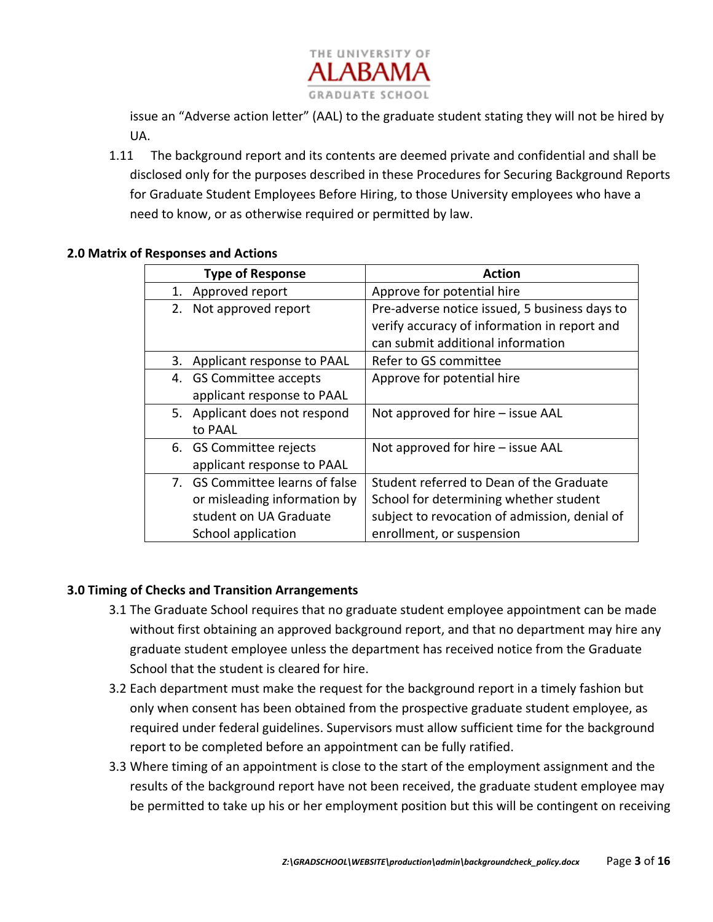

issue an "Adverse action letter" (AAL) to the graduate student stating they will not be hired by UA.

1.11 The background report and its contents are deemed private and confidential and shall be disclosed only for the purposes described in these Procedures for Securing Background Reports for Graduate Student Employees Before Hiring, to those University employees who have a need to know, or as otherwise required or permitted by law.

#### **2.0 Matrix of Responses and Actions**

|    | <b>Type of Response</b>         | <b>Action</b>                                 |
|----|---------------------------------|-----------------------------------------------|
| 1. | Approved report                 | Approve for potential hire                    |
| 2. | Not approved report             | Pre-adverse notice issued, 5 business days to |
|    |                                 | verify accuracy of information in report and  |
|    |                                 | can submit additional information             |
| 3. | Applicant response to PAAL      | Refer to GS committee                         |
|    | 4. GS Committee accepts         | Approve for potential hire                    |
|    | applicant response to PAAL      |                                               |
|    | 5. Applicant does not respond   | Not approved for hire – issue AAL             |
|    | to PAAL                         |                                               |
|    | 6. GS Committee rejects         | Not approved for hire – issue AAL             |
|    | applicant response to PAAL      |                                               |
|    | 7. GS Committee learns of false | Student referred to Dean of the Graduate      |
|    | or misleading information by    | School for determining whether student        |
|    | student on UA Graduate          | subject to revocation of admission, denial of |
|    | School application              | enrollment, or suspension                     |

## **3.0 Timing of Checks and Transition Arrangements**

- 3.1 The Graduate School requires that no graduate student employee appointment can be made without first obtaining an approved background report, and that no department may hire any graduate student employee unless the department has received notice from the Graduate School that the student is cleared for hire.
- 3.2 Each department must make the request for the background report in a timely fashion but only when consent has been obtained from the prospective graduate student employee, as required under federal guidelines. Supervisors must allow sufficient time for the background report to be completed before an appointment can be fully ratified.
- 3.3 Where timing of an appointment is close to the start of the employment assignment and the results of the background report have not been received, the graduate student employee may be permitted to take up his or her employment position but this will be contingent on receiving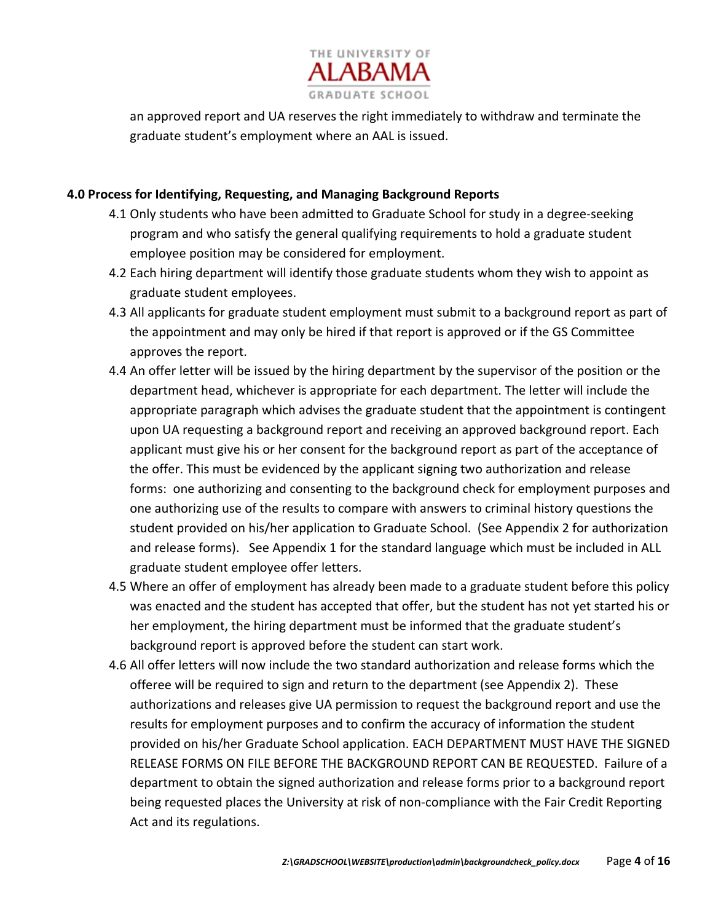

an approved report and UA reserves the right immediately to withdraw and terminate the graduate student's employment where an AAL is issued.

#### **4.0 Process for Identifying, Requesting, and Managing Background Reports**

- 4.1 Only students who have been admitted to Graduate School for study in a degree‐seeking program and who satisfy the general qualifying requirements to hold a graduate student employee position may be considered for employment.
- 4.2 Each hiring department will identify those graduate students whom they wish to appoint as graduate student employees.
- 4.3 All applicants for graduate student employment must submit to a background report as part of the appointment and may only be hired if that report is approved or if the GS Committee approves the report.
- 4.4 An offer letter will be issued by the hiring department by the supervisor of the position or the department head, whichever is appropriate for each department. The letter will include the appropriate paragraph which advises the graduate student that the appointment is contingent upon UA requesting a background report and receiving an approved background report. Each applicant must give his or her consent for the background report as part of the acceptance of the offer. This must be evidenced by the applicant signing two authorization and release forms: one authorizing and consenting to the background check for employment purposes and one authorizing use of the results to compare with answers to criminal history questions the student provided on his/her application to Graduate School. (See Appendix 2 for authorization and release forms). See Appendix 1 for the standard language which must be included in ALL graduate student employee offer letters.
- 4.5 Where an offer of employment has already been made to a graduate student before this policy was enacted and the student has accepted that offer, but the student has not yet started his or her employment, the hiring department must be informed that the graduate student's background report is approved before the student can start work.
- 4.6 All offer letters will now include the two standard authorization and release forms which the offeree will be required to sign and return to the department (see Appendix 2). These authorizations and releases give UA permission to request the background report and use the results for employment purposes and to confirm the accuracy of information the student provided on his/her Graduate School application. EACH DEPARTMENT MUST HAVE THE SIGNED RELEASE FORMS ON FILE BEFORE THE BACKGROUND REPORT CAN BE REQUESTED. Failure of a department to obtain the signed authorization and release forms prior to a background report being requested places the University at risk of non-compliance with the Fair Credit Reporting Act and its regulations.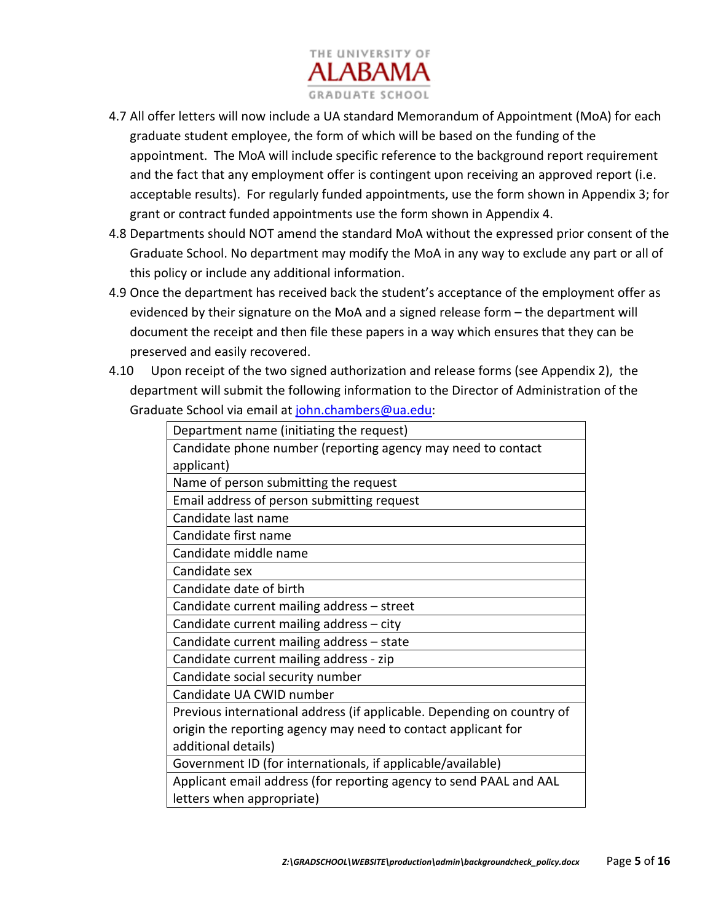

- 4.7 All offer letters will now include a UA standard Memorandum of Appointment (MoA) for each graduate student employee, the form of which will be based on the funding of the appointment. The MoA will include specific reference to the background report requirement and the fact that any employment offer is contingent upon receiving an approved report (i.e. acceptable results). For regularly funded appointments, use the form shown in Appendix 3; for grant or contract funded appointments use the form shown in Appendix 4.
- 4.8 Departments should NOT amend the standard MoA without the expressed prior consent of the Graduate School. No department may modify the MoA in any way to exclude any part or all of this policy or include any additional information.
- 4.9 Once the department has received back the student's acceptance of the employment offer as evidenced by their signature on the MoA and a signed release form – the department will document the receipt and then file these papers in a way which ensures that they can be preserved and easily recovered.
- 4.10 Upon receipt of the two signed authorization and release forms (see Appendix 2), the department will submit the following information to the Director of Administration of the Graduate School via email at john.chambers@ua.edu:

| Department name (initiating the request)                               |
|------------------------------------------------------------------------|
| Candidate phone number (reporting agency may need to contact           |
| applicant)                                                             |
| Name of person submitting the request                                  |
| Email address of person submitting request                             |
| Candidate last name                                                    |
| Candidate first name                                                   |
| Candidate middle name                                                  |
| Candidate sex                                                          |
| Candidate date of birth                                                |
| Candidate current mailing address - street                             |
| Candidate current mailing address - city                               |
| Candidate current mailing address - state                              |
| Candidate current mailing address - zip                                |
| Candidate social security number                                       |
| Candidate UA CWID number                                               |
| Previous international address (if applicable. Depending on country of |
| origin the reporting agency may need to contact applicant for          |
| additional details)                                                    |
| Government ID (for internationals, if applicable/available)            |
| Applicant email address (for reporting agency to send PAAL and AAL     |
| letters when appropriate)                                              |
|                                                                        |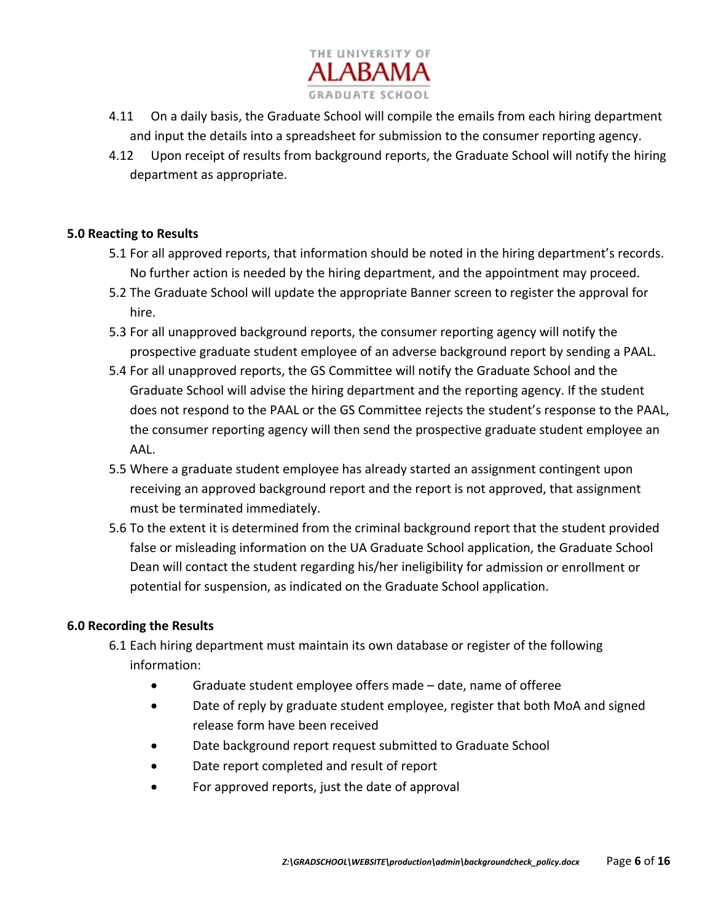

- 4.11 On a daily basis, the Graduate School will compile the emails from each hiring department and input the details into a spreadsheet for submission to the consumer reporting agency.
- 4.12 Upon receipt of results from background reports, the Graduate School will notify the hiring department as appropriate.

#### **5.0 Reacting to Results**

- 5.1 For all approved reports, that information should be noted in the hiring department's records. No further action is needed by the hiring department, and the appointment may proceed.
- 5.2 The Graduate School will update the appropriate Banner screen to register the approval for hire.
- 5.3 For all unapproved background reports, the consumer reporting agency will notify the prospective graduate student employee of an adverse background report by sending a PAAL.
- 5.4 For all unapproved reports, the GS Committee will notify the Graduate School and the Graduate School will advise the hiring department and the reporting agency. If the student does not respond to the PAAL or the GS Committee rejects the student's response to the PAAL, the consumer reporting agency will then send the prospective graduate student employee an AAL.
- 5.5 Where a graduate student employee has already started an assignment contingent upon receiving an approved background report and the report is not approved, that assignment must be terminated immediately.
- 5.6 To the extent it is determined from the criminal background report that the student provided false or misleading information on the UA Graduate School application, the Graduate School Dean will contact the student regarding his/her ineligibility for admission or enrollment or potential for suspension, as indicated on the Graduate School application.

#### **6.0 Recording the Results**

- 6.1 Each hiring department must maintain its own database or register of the following information:
	- Graduate student employee offers made date, name of offeree
	- Date of reply by graduate student employee, register that both MoA and signed release form have been received
	- Date background report request submitted to Graduate School
	- Date report completed and result of report
	- For approved reports, just the date of approval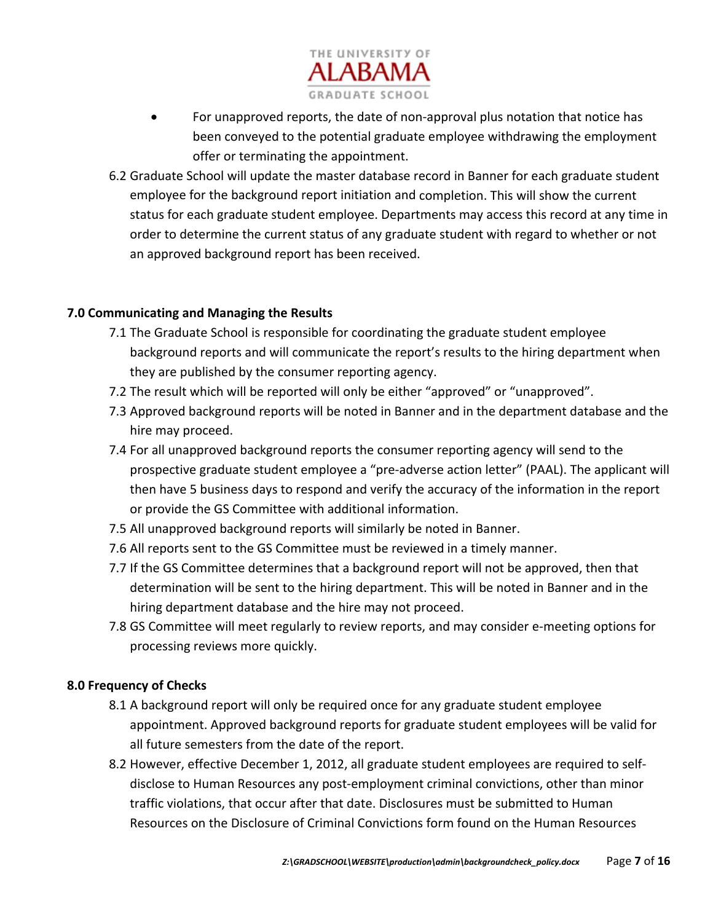

- For unapproved reports, the date of non‐approval plus notation that notice has been conveyed to the potential graduate employee withdrawing the employment offer or terminating the appointment.
- 6.2 Graduate School will update the master database record in Banner for each graduate student employee for the background report initiation and completion. This will show the current status for each graduate student employee. Departments may access this record at any time in order to determine the current status of any graduate student with regard to whether or not an approved background report has been received.

### **7.0 Communicating and Managing the Results**

- 7.1 The Graduate School is responsible for coordinating the graduate student employee background reports and will communicate the report's results to the hiring department when they are published by the consumer reporting agency.
- 7.2 The result which will be reported will only be either "approved" or "unapproved".
- 7.3 Approved background reports will be noted in Banner and in the department database and the hire may proceed.
- 7.4 For all unapproved background reports the consumer reporting agency will send to the prospective graduate student employee a "pre‐adverse action letter" (PAAL). The applicant will then have 5 business days to respond and verify the accuracy of the information in the report or provide the GS Committee with additional information.
- 7.5 All unapproved background reports will similarly be noted in Banner.
- 7.6 All reports sent to the GS Committee must be reviewed in a timely manner.
- 7.7 If the GS Committee determines that a background report will not be approved, then that determination will be sent to the hiring department. This will be noted in Banner and in the hiring department database and the hire may not proceed.
- 7.8 GS Committee will meet regularly to review reports, and may consider e‐meeting options for processing reviews more quickly.

#### **8.0 Frequency of Checks**

- 8.1 A background report will only be required once for any graduate student employee appointment. Approved background reports for graduate student employees will be valid for all future semesters from the date of the report.
- 8.2 However, effective December 1, 2012, all graduate student employees are required to self‐ disclose to Human Resources any post‐employment criminal convictions, other than minor traffic violations, that occur after that date. Disclosures must be submitted to Human Resources on the Disclosure of Criminal Convictions form found on the Human Resources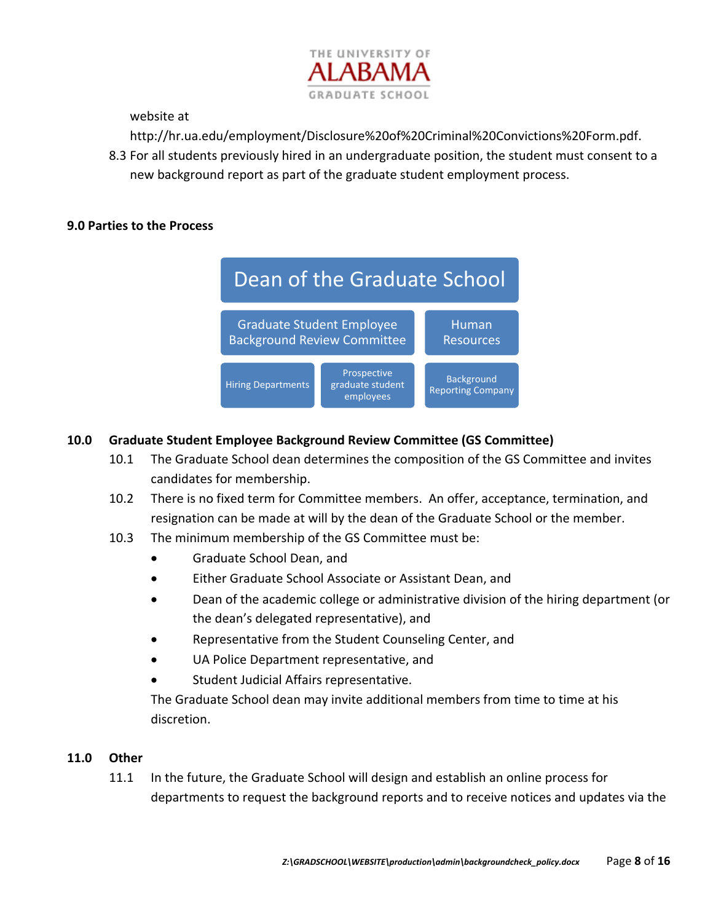

website at

http://hr.ua.edu/employment/Disclosure%20of%20Criminal%20Convictions%20Form.pdf.

8.3 For all students previously hired in an undergraduate position, the student must consent to a new background report as part of the graduate student employment process.

#### **9.0 Parties to the Process**



### **10.0 Graduate Student Employee Background Review Committee (GS Committee)**

- 10.1 The Graduate School dean determines the composition of the GS Committee and invites candidates for membership.
- 10.2 There is no fixed term for Committee members. An offer, acceptance, termination, and resignation can be made at will by the dean of the Graduate School or the member.
- 10.3 The minimum membership of the GS Committee must be:
	- Graduate School Dean, and
	- Either Graduate School Associate or Assistant Dean, and
	- Dean of the academic college or administrative division of the hiring department (or the dean's delegated representative), and
	- Representative from the Student Counseling Center, and
	- UA Police Department representative, and
	- Student Judicial Affairs representative.

The Graduate School dean may invite additional members from time to time at his discretion.

#### **11.0 Other**

11.1 In the future, the Graduate School will design and establish an online process for departments to request the background reports and to receive notices and updates via the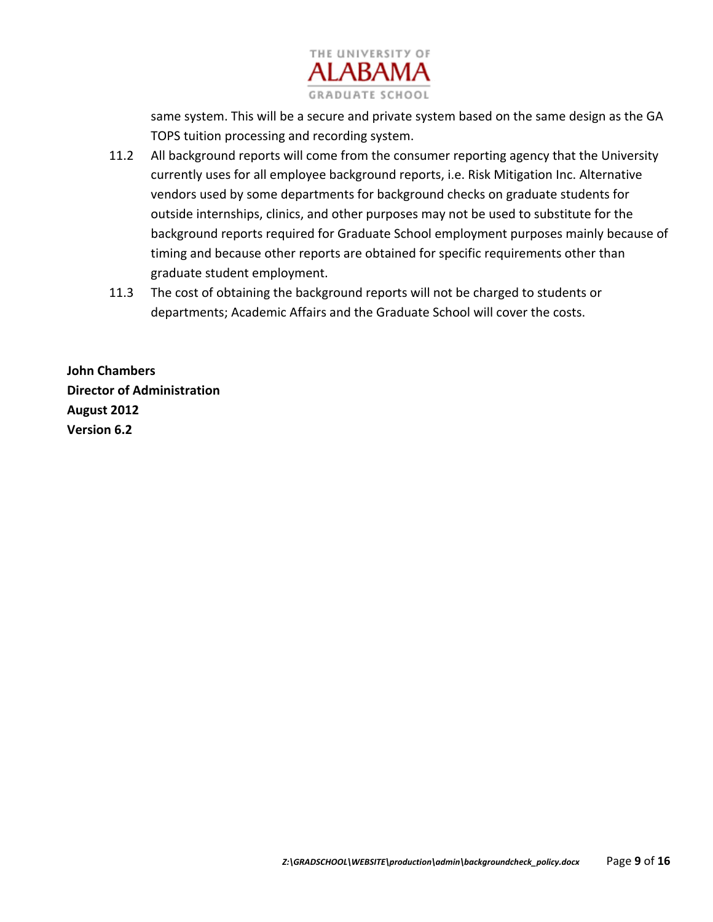

same system. This will be a secure and private system based on the same design as the GA TOPS tuition processing and recording system.

- 11.2 All background reports will come from the consumer reporting agency that the University currently uses for all employee background reports, i.e. Risk Mitigation Inc. Alternative vendors used by some departments for background checks on graduate students for outside internships, clinics, and other purposes may not be used to substitute for the background reports required for Graduate School employment purposes mainly because of timing and because other reports are obtained for specific requirements other than graduate student employment.
- 11.3 The cost of obtaining the background reports will not be charged to students or departments; Academic Affairs and the Graduate School will cover the costs.

**John Chambers Director of Administration August 2012 Version 6.2**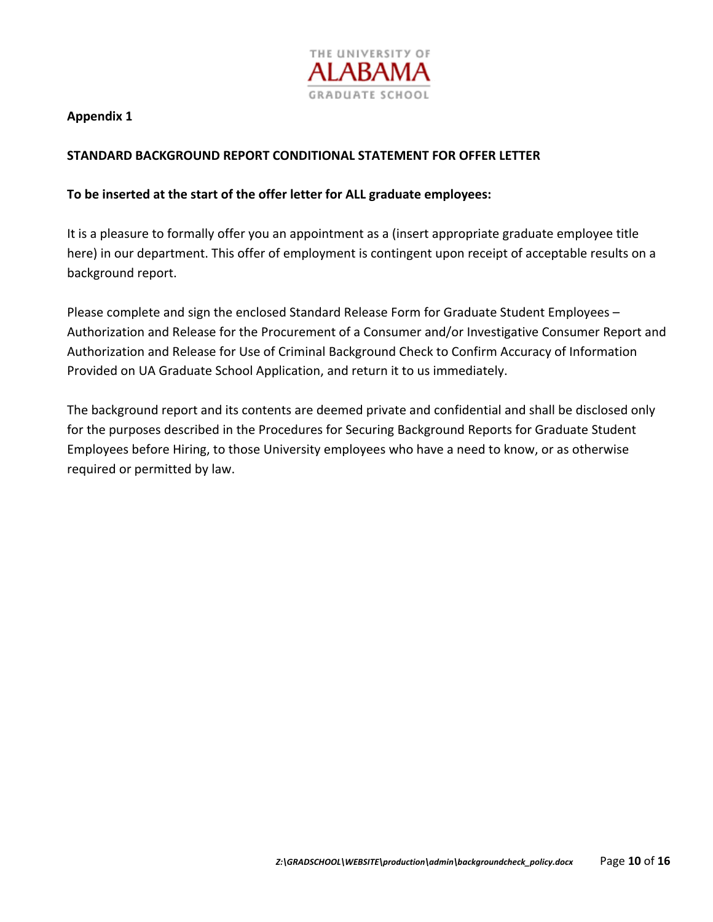

#### **STANDARD BACKGROUND REPORT CONDITIONAL STATEMENT FOR OFFER LETTER**

#### **To be inserted at the start of the offer letter for ALL graduate employees:**

It is a pleasure to formally offer you an appointment as a (insert appropriate graduate employee title here) in our department. This offer of employment is contingent upon receipt of acceptable results on a background report.

Please complete and sign the enclosed Standard Release Form for Graduate Student Employees – Authorization and Release for the Procurement of a Consumer and/or Investigative Consumer Report and Authorization and Release for Use of Criminal Background Check to Confirm Accuracy of Information Provided on UA Graduate School Application, and return it to us immediately.

The background report and its contents are deemed private and confidential and shall be disclosed only for the purposes described in the Procedures for Securing Background Reports for Graduate Student Employees before Hiring, to those University employees who have a need to know, or as otherwise required or permitted by law.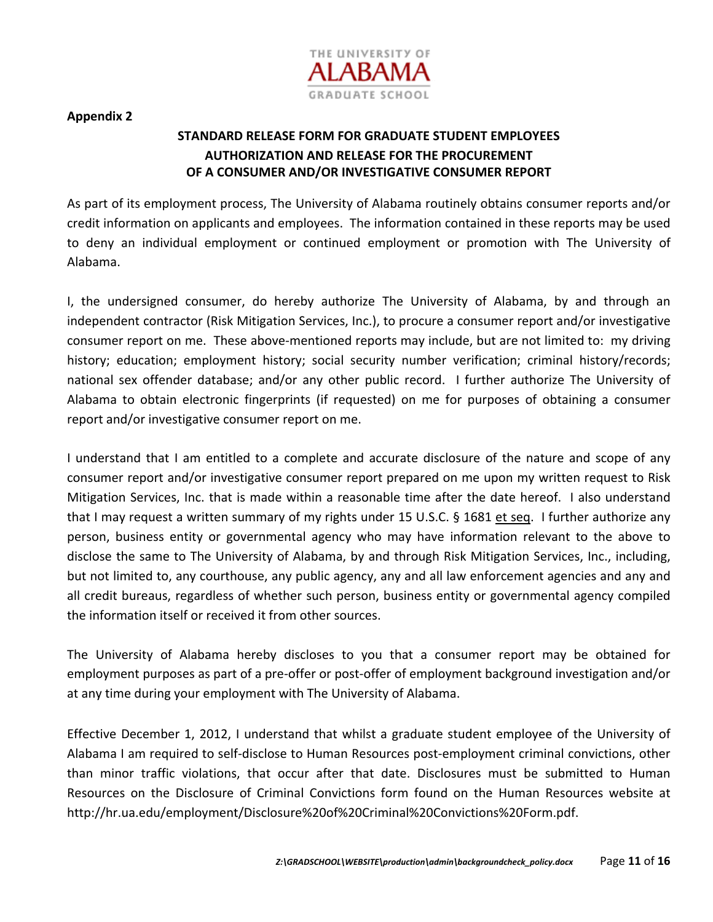

## **STANDARD RELEASE FORM FOR GRADUATE STUDENT EMPLOYEES AUTHORIZATION AND RELEASE FOR THE PROCUREMENT OF A CONSUMER AND/OR INVESTIGATIVE CONSUMER REPORT**

As part of its employment process, The University of Alabama routinely obtains consumer reports and/or credit information on applicants and employees. The information contained in these reports may be used to deny an individual employment or continued employment or promotion with The University of Alabama.

I, the undersigned consumer, do hereby authorize The University of Alabama, by and through an independent contractor (Risk Mitigation Services, Inc.), to procure a consumer report and/or investigative consumer report on me. These above‐mentioned reports may include, but are not limited to: my driving history; education; employment history; social security number verification; criminal history/records; national sex offender database; and/or any other public record. I further authorize The University of Alabama to obtain electronic fingerprints (if requested) on me for purposes of obtaining a consumer report and/or investigative consumer report on me.

I understand that I am entitled to a complete and accurate disclosure of the nature and scope of any consumer report and/or investigative consumer report prepared on me upon my written request to Risk Mitigation Services, Inc. that is made within a reasonable time after the date hereof. I also understand that I may request a written summary of my rights under 15 U.S.C. § 1681 et seq. I further authorize any person, business entity or governmental agency who may have information relevant to the above to disclose the same to The University of Alabama, by and through Risk Mitigation Services, Inc., including, but not limited to, any courthouse, any public agency, any and all law enforcement agencies and any and all credit bureaus, regardless of whether such person, business entity or governmental agency compiled the information itself or received it from other sources.

The University of Alabama hereby discloses to you that a consumer report may be obtained for employment purposes as part of a pre-offer or post-offer of employment background investigation and/or at any time during your employment with The University of Alabama.

Effective December 1, 2012, I understand that whilst a graduate student employee of the University of Alabama I am required to self‐disclose to Human Resources post‐employment criminal convictions, other than minor traffic violations, that occur after that date. Disclosures must be submitted to Human Resources on the Disclosure of Criminal Convictions form found on the Human Resources website at http://hr.ua.edu/employment/Disclosure%20of%20Criminal%20Convictions%20Form.pdf.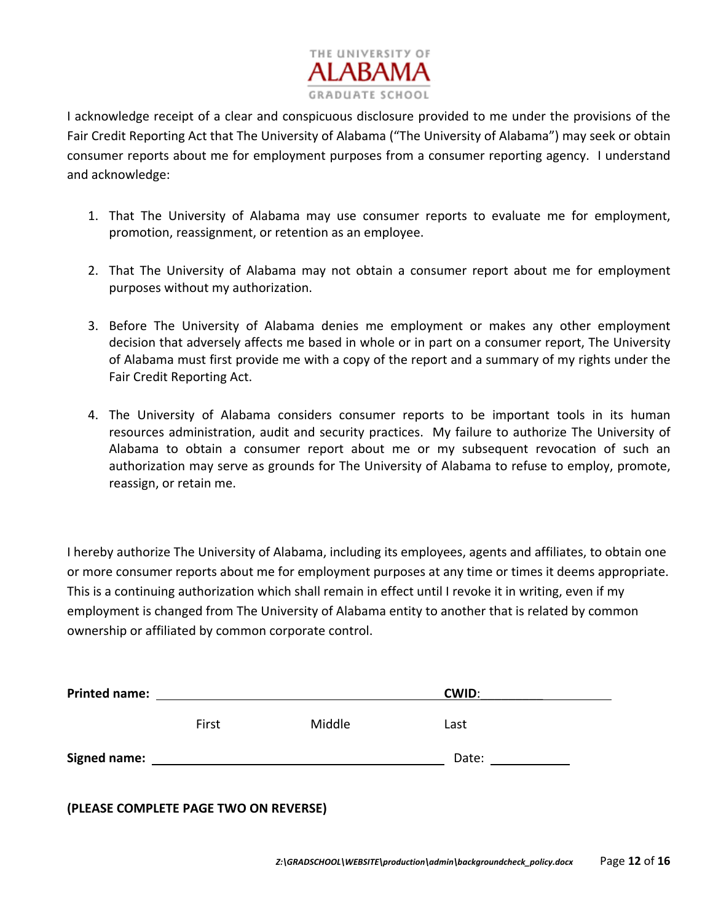

I acknowledge receipt of a clear and conspicuous disclosure provided to me under the provisions of the Fair Credit Reporting Act that The University of Alabama ("The University of Alabama") may seek or obtain consumer reports about me for employment purposes from a consumer reporting agency. I understand and acknowledge:

- 1. That The University of Alabama may use consumer reports to evaluate me for employment, promotion, reassignment, or retention as an employee.
- 2. That The University of Alabama may not obtain a consumer report about me for employment purposes without my authorization.
- 3. Before The University of Alabama denies me employment or makes any other employment decision that adversely affects me based in whole or in part on a consumer report, The University of Alabama must first provide me with a copy of the report and a summary of my rights under the Fair Credit Reporting Act.
- 4. The University of Alabama considers consumer reports to be important tools in its human resources administration, audit and security practices. My failure to authorize The University of Alabama to obtain a consumer report about me or my subsequent revocation of such an authorization may serve as grounds for The University of Alabama to refuse to employ, promote, reassign, or retain me.

I hereby authorize The University of Alabama, including its employees, agents and affiliates, to obtain one or more consumer reports about me for employment purposes at any time or times it deems appropriate. This is a continuing authorization which shall remain in effect until I revoke it in writing, even if my employment is changed from The University of Alabama entity to another that is related by common ownership or affiliated by common corporate control.

| <b>Printed name:</b> |       |        | <b>CWID:</b> |  |
|----------------------|-------|--------|--------------|--|
|                      | First | Middle | Last         |  |
| <b>Signed name:</b>  |       |        | Date:        |  |
|                      |       |        |              |  |

**(PLEASE COMPLETE PAGE TWO ON REVERSE)**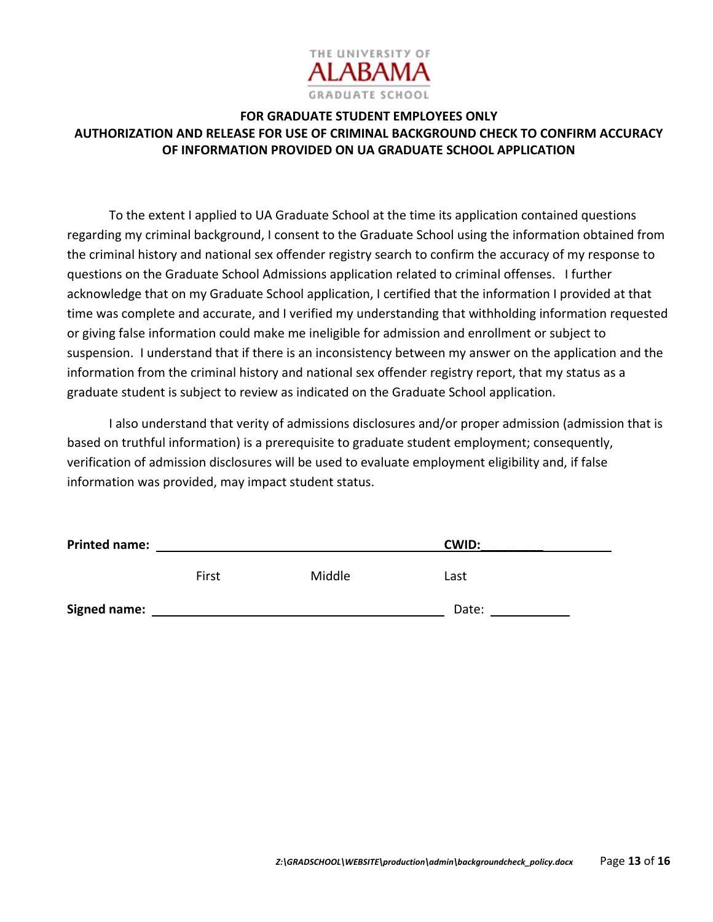

## **FOR GRADUATE STUDENT EMPLOYEES ONLY AUTHORIZATION AND RELEASE FOR USE OF CRIMINAL BACKGROUND CHECK TO CONFIRM ACCURACY OF INFORMATION PROVIDED ON UA GRADUATE SCHOOL APPLICATION**

To the extent I applied to UA Graduate School at the time its application contained questions regarding my criminal background, I consent to the Graduate School using the information obtained from the criminal history and national sex offender registry search to confirm the accuracy of my response to questions on the Graduate School Admissions application related to criminal offenses. I further acknowledge that on my Graduate School application, I certified that the information I provided at that time was complete and accurate, and I verified my understanding that withholding information requested or giving false information could make me ineligible for admission and enrollment or subject to suspension. I understand that if there is an inconsistency between my answer on the application and the information from the criminal history and national sex offender registry report, that my status as a graduate student is subject to review as indicated on the Graduate School application.

I also understand that verity of admissions disclosures and/or proper admission (admission that is based on truthful information) is a prerequisite to graduate student employment; consequently, verification of admission disclosures will be used to evaluate employment eligibility and, if false information was provided, may impact student status.

| <b>Printed name:</b> |       |        | <b>CWID:</b> |  |
|----------------------|-------|--------|--------------|--|
|                      | First | Middle | Last         |  |
| <b>Signed name:</b>  |       |        | Date:        |  |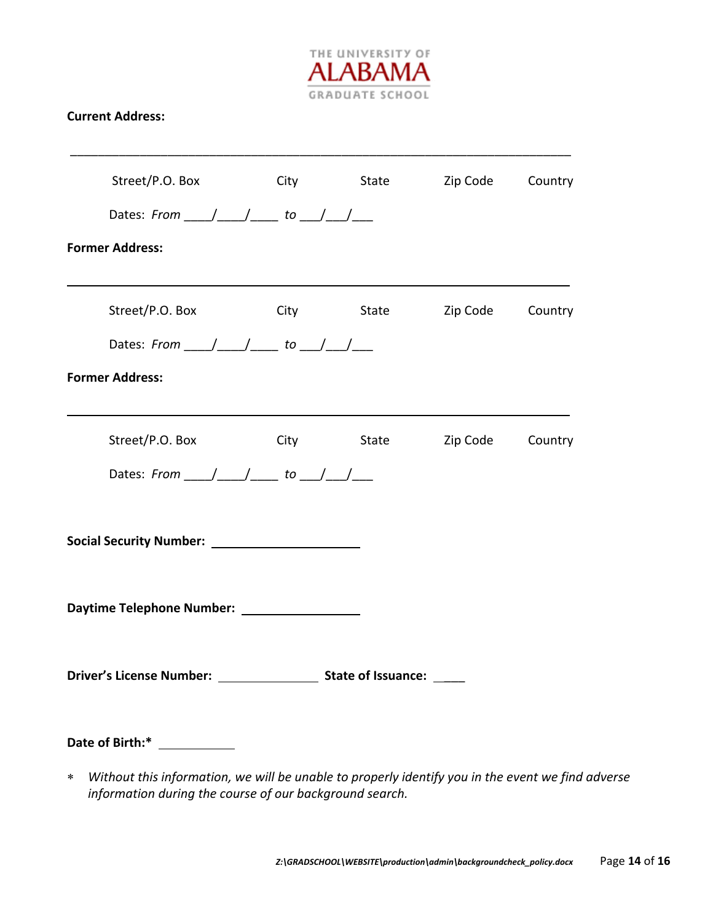

### **Current Address:**

| Street/P.O. Box City State Zip Code Country                                                         |            |                             |  |
|-----------------------------------------------------------------------------------------------------|------------|-----------------------------|--|
| Dates: From $\_\_\_\_\_\_\_\_\$ to $\_\_\_\_\_\_\_\_\_\_\_\_\_\_\$                                  |            |                             |  |
| <b>Former Address:</b>                                                                              |            |                             |  |
| Street/P.O. Box                                                                                     | City State | Zip Code Country            |  |
| Dates: From $\_\_\_\_\_\_\_\_\$ to $\_\_\_\_\_\_\_\_\_\_\_\_\_\_\$                                  |            |                             |  |
| <b>Former Address:</b>                                                                              |            |                             |  |
| Street/P.O. Box                                                                                     |            | City State Zip Code Country |  |
| Dates: From ____/ ____/ _____ to ___/ ___/ ___                                                      |            |                             |  |
|                                                                                                     |            |                             |  |
|                                                                                                     |            |                             |  |
|                                                                                                     |            |                             |  |
| Date of Birth:* ____________                                                                        |            |                             |  |
| * Without this information, we will be unable to properly identify you in the event we find adverse |            |                             |  |

 *Without this information, we will be unable to properly identify you in the event we find adverse information during the course of our background search.*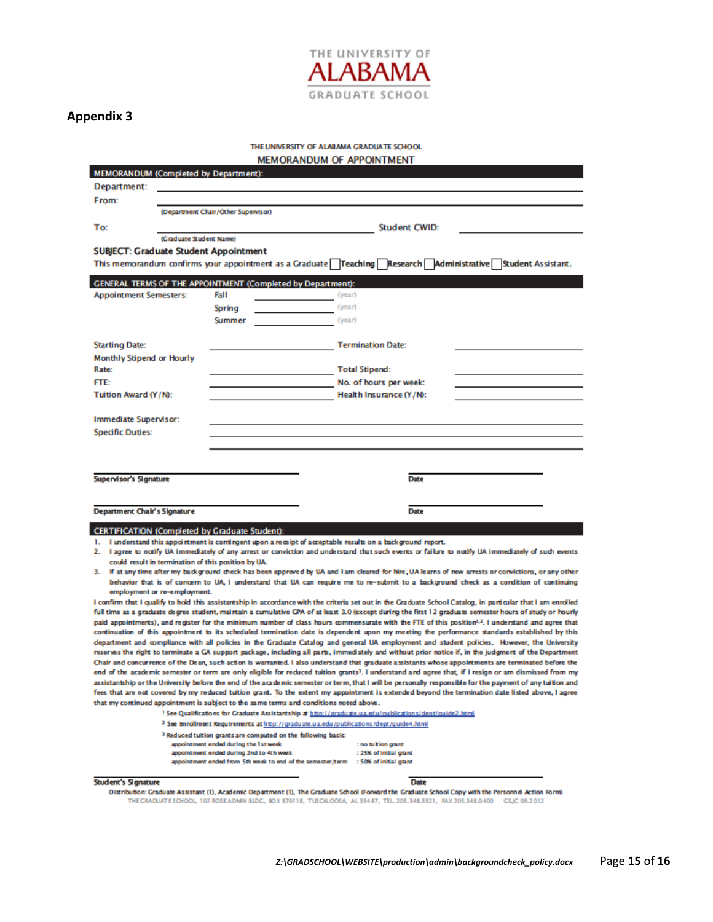

#### THE UNIVERSITY OF ALABAMA GRADUATE SCHOOL

MEMORANDUM OF APPOINTMENT

| <b>MEMORANDUM (Completed by Department):</b> |                         |                                                                                   |                                                                                                  |                                                                                                                    |                                                                                                                                                                                                                                                                                                                 |
|----------------------------------------------|-------------------------|-----------------------------------------------------------------------------------|--------------------------------------------------------------------------------------------------|--------------------------------------------------------------------------------------------------------------------|-----------------------------------------------------------------------------------------------------------------------------------------------------------------------------------------------------------------------------------------------------------------------------------------------------------------|
| Department:                                  |                         |                                                                                   |                                                                                                  |                                                                                                                    |                                                                                                                                                                                                                                                                                                                 |
| From:                                        |                         |                                                                                   |                                                                                                  |                                                                                                                    |                                                                                                                                                                                                                                                                                                                 |
|                                              |                         | (Department Chair/Other Supervisor)                                               |                                                                                                  |                                                                                                                    |                                                                                                                                                                                                                                                                                                                 |
| To:                                          |                         |                                                                                   |                                                                                                  | <b>Student CWID:</b>                                                                                               |                                                                                                                                                                                                                                                                                                                 |
|                                              | (Graduate Student Name) |                                                                                   |                                                                                                  |                                                                                                                    |                                                                                                                                                                                                                                                                                                                 |
|                                              |                         | <b>SUBJECT: Graduate Student Appointment</b>                                      |                                                                                                  |                                                                                                                    |                                                                                                                                                                                                                                                                                                                 |
|                                              |                         |                                                                                   |                                                                                                  |                                                                                                                    | This memorandum confirms your appointment as a Graduate Teaching Research Administrative Student Assistant.                                                                                                                                                                                                     |
|                                              |                         |                                                                                   |                                                                                                  |                                                                                                                    |                                                                                                                                                                                                                                                                                                                 |
|                                              |                         |                                                                                   | <b>GENERAL TERMS OF THE APPOINTMENT (Completed by Department):</b>                               |                                                                                                                    |                                                                                                                                                                                                                                                                                                                 |
| <b>Appointment Semesters:</b>                |                         | Fall                                                                              | (year)                                                                                           |                                                                                                                    |                                                                                                                                                                                                                                                                                                                 |
|                                              |                         | Spring                                                                            | (year)                                                                                           |                                                                                                                    |                                                                                                                                                                                                                                                                                                                 |
|                                              |                         | <b>Summer</b>                                                                     | (year)                                                                                           |                                                                                                                    |                                                                                                                                                                                                                                                                                                                 |
|                                              |                         |                                                                                   |                                                                                                  |                                                                                                                    |                                                                                                                                                                                                                                                                                                                 |
| <b>Starting Date:</b>                        |                         |                                                                                   |                                                                                                  | <b>Termination Date:</b>                                                                                           |                                                                                                                                                                                                                                                                                                                 |
| <b>Monthly Stipend or Hourly</b>             |                         |                                                                                   |                                                                                                  |                                                                                                                    |                                                                                                                                                                                                                                                                                                                 |
| Rate:                                        |                         |                                                                                   |                                                                                                  | <b>Total Stipend:</b>                                                                                              |                                                                                                                                                                                                                                                                                                                 |
| <b>FTE:</b>                                  |                         |                                                                                   |                                                                                                  | No. of hours per week:                                                                                             |                                                                                                                                                                                                                                                                                                                 |
| Tuition Award (Y/N):                         |                         |                                                                                   |                                                                                                  | Health Insurance (Y/N):                                                                                            |                                                                                                                                                                                                                                                                                                                 |
|                                              |                         |                                                                                   |                                                                                                  |                                                                                                                    |                                                                                                                                                                                                                                                                                                                 |
| Immediate Supervisor:                        |                         |                                                                                   |                                                                                                  |                                                                                                                    |                                                                                                                                                                                                                                                                                                                 |
| <b>Specific Duties:</b>                      |                         |                                                                                   |                                                                                                  |                                                                                                                    |                                                                                                                                                                                                                                                                                                                 |
|                                              |                         |                                                                                   |                                                                                                  |                                                                                                                    |                                                                                                                                                                                                                                                                                                                 |
|                                              |                         |                                                                                   |                                                                                                  |                                                                                                                    |                                                                                                                                                                                                                                                                                                                 |
|                                              |                         |                                                                                   |                                                                                                  |                                                                                                                    |                                                                                                                                                                                                                                                                                                                 |
|                                              |                         |                                                                                   |                                                                                                  |                                                                                                                    |                                                                                                                                                                                                                                                                                                                 |
|                                              |                         |                                                                                   |                                                                                                  | Date                                                                                                               |                                                                                                                                                                                                                                                                                                                 |
| <b>Supervisor's Signature</b>                |                         |                                                                                   |                                                                                                  |                                                                                                                    |                                                                                                                                                                                                                                                                                                                 |
|                                              |                         |                                                                                   |                                                                                                  |                                                                                                                    |                                                                                                                                                                                                                                                                                                                 |
| Department Chair's Signature                 |                         |                                                                                   |                                                                                                  | <b>Date</b>                                                                                                        |                                                                                                                                                                                                                                                                                                                 |
|                                              |                         |                                                                                   |                                                                                                  |                                                                                                                    |                                                                                                                                                                                                                                                                                                                 |
|                                              |                         | <b>CERTIFICATION (Completed by Graduate Student):</b>                             |                                                                                                  |                                                                                                                    |                                                                                                                                                                                                                                                                                                                 |
| $\mathbf{L}$                                 |                         |                                                                                   |                                                                                                  | I understand this appointment is contingent upon a receipt of acceptable results on a background report.           |                                                                                                                                                                                                                                                                                                                 |
|                                              |                         | could result in termination of this position by UA.                               |                                                                                                  |                                                                                                                    | 2. I agree to notify UA immediately of any arrest or conviction and understand that such events or failure to notify UA immediately of such events                                                                                                                                                              |
|                                              |                         |                                                                                   |                                                                                                  |                                                                                                                    | 3. If at any time after my background check has been approved by UA and I am cleared for hire, UA learns of new arrests or convictions, or any other                                                                                                                                                            |
|                                              |                         |                                                                                   |                                                                                                  |                                                                                                                    | behavior that is of concern to UA, I understand that UA can require me to re-submit to a background check as a condition of continuing                                                                                                                                                                          |
| employment or re-employment.                 |                         |                                                                                   |                                                                                                  |                                                                                                                    |                                                                                                                                                                                                                                                                                                                 |
|                                              |                         |                                                                                   |                                                                                                  |                                                                                                                    | I confirm that I qualify to hold this assistantship in accordance with the criteria set out in the Graduate School Catalog, in particular that I am enrolled                                                                                                                                                    |
|                                              |                         |                                                                                   |                                                                                                  |                                                                                                                    | full time as a graduate degree student, maintain a cumulative GPA of at least 3.0 (except during the first 12 graduate semester hours of study or hourly                                                                                                                                                        |
|                                              |                         |                                                                                   |                                                                                                  |                                                                                                                    | paid appointments), and register for the minimum number of class hours commensurate with the FTE of this position <sup>1,2</sup> . I understand and agree that<br>continuation of this appointment to its scheduled termination date is dependent upon my meeting the performance standards established by this |
|                                              |                         |                                                                                   |                                                                                                  |                                                                                                                    | department and compliance with all policies in the Graduate Catalog and general UA employment and student policies. However, the University                                                                                                                                                                     |
|                                              |                         |                                                                                   |                                                                                                  |                                                                                                                    | reserves the right to terminate a GA support package, including all parts, immediately and without prior notice if, in the judgment of the Department                                                                                                                                                           |
|                                              |                         |                                                                                   |                                                                                                  |                                                                                                                    | Chair and concurrence of the Dean, such action is warranted. I also understand that graduate assistants whose appointments are terminated before the                                                                                                                                                            |
|                                              |                         |                                                                                   |                                                                                                  |                                                                                                                    | end of the academic semester or term are only eligible for reduced tuition grants <sup>3</sup> . I understand and agree that, if I resign or am dismissed from my                                                                                                                                               |
|                                              |                         |                                                                                   |                                                                                                  |                                                                                                                    | assistantship or the University before the end of the academic semester or term, that I will be personally responsible for the payment of any tuition and<br>fees that are not covered by my reduced tuition grant. To the extent my appointment is extended beyond the termination date listed above, I agree  |
|                                              |                         |                                                                                   | that my continued appointment is subject to the same terms and conditions noted above.           |                                                                                                                    |                                                                                                                                                                                                                                                                                                                 |
|                                              |                         |                                                                                   |                                                                                                  | <sup>1</sup> See Qualifications for Graduate Assistantship at http://graduate.ua.edu/publications/dept/guide2.html |                                                                                                                                                                                                                                                                                                                 |
|                                              |                         |                                                                                   | <sup>2</sup> See Enrollment Requirements at http://graduate.ua.edu/publications/dept/guide4.html |                                                                                                                    |                                                                                                                                                                                                                                                                                                                 |
|                                              |                         |                                                                                   | <sup>3</sup> Reduced tuition grants are computed on the following basis:                         |                                                                                                                    |                                                                                                                                                                                                                                                                                                                 |
|                                              |                         | appointment ended during the 1st week<br>appointment ended during 2nd to 4th week |                                                                                                  | : no tu kion grant<br>: 25% of initial grant                                                                       |                                                                                                                                                                                                                                                                                                                 |

#### Student's Signature

Date

Distribution: Graduate Assistant (1), Academic Department (1), The Graduate School (Forward the Graduate School Copy with the Personnel Action Form)<br>THE GRADUATE SCHOOL, 102 ROSE ADMIN BLDG, BOX 870118, TUSCALOOSA, AL 3548